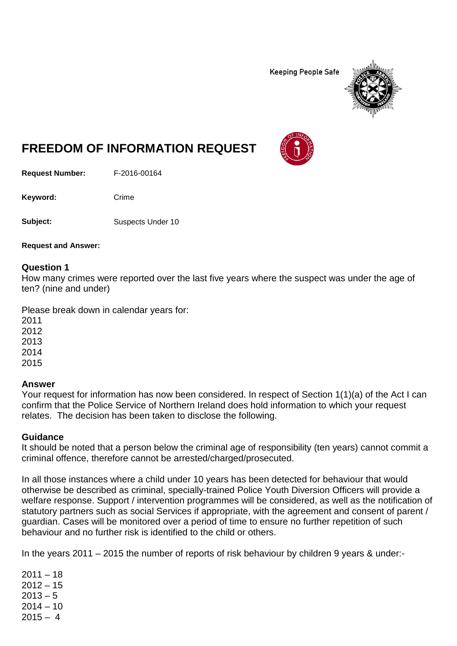**Keeping People Safe** 



# **FREEDOM OF INFORMATION REQUEST**

**Request Number:** F-2016-00164

Keyword: Crime

**Subject:** Suspects Under 10

**Request and Answer:**

## **Question 1**

How many crimes were reported over the last five years where the suspect was under the age of ten? (nine and under)

Please break down in calendar years for:

2011 2012 2013

2014

2015

## **Answer**

Your request for information has now been considered. In respect of Section 1(1)(a) of the Act I can confirm that the Police Service of Northern Ireland does hold information to which your request relates. The decision has been taken to disclose the following.

## **Guidance**

It should be noted that a person below the criminal age of responsibility (ten years) cannot commit a criminal offence, therefore cannot be arrested/charged/prosecuted.

In all those instances where a child under 10 years has been detected for behaviour that would otherwise be described as criminal, specially-trained Police Youth Diversion Officers will provide a welfare response. Support / intervention programmes will be considered, as well as the notification of statutory partners such as social Services if appropriate, with the agreement and consent of parent / guardian. Cases will be monitored over a period of time to ensure no further repetition of such behaviour and no further risk is identified to the child or others.

In the years 2011 – 2015 the number of reports of risk behaviour by children 9 years & under:-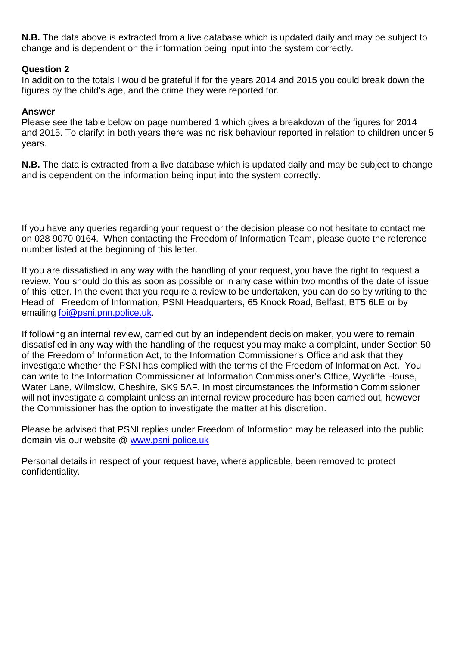**N.B.** The data above is extracted from a live database which is updated daily and may be subject to change and is dependent on the information being input into the system correctly.

## **Question 2**

In addition to the totals I would be grateful if for the years 2014 and 2015 you could break down the figures by the child's age, and the crime they were reported for.

### **Answer**

Please see the table below on page numbered 1 which gives a breakdown of the figures for 2014 and 2015. To clarify: in both years there was no risk behaviour reported in relation to children under 5 years.

**N.B.** The data is extracted from a live database which is updated daily and may be subject to change and is dependent on the information being input into the system correctly.

If you have any queries regarding your request or the decision please do not hesitate to contact me on 028 9070 0164. When contacting the Freedom of Information Team, please quote the reference number listed at the beginning of this letter.

If you are dissatisfied in any way with the handling of your request, you have the right to request a review. You should do this as soon as possible or in any case within two months of the date of issue of this letter. In the event that you require a review to be undertaken, you can do so by writing to the Head of Freedom of Information, PSNI Headquarters, 65 Knock Road, Belfast, BT5 6LE or by emailing [foi@psni.pnn.police.uk.](mailto:foi@psni.pnn.police.uk)

If following an internal review, carried out by an independent decision maker, you were to remain dissatisfied in any way with the handling of the request you may make a complaint, under Section 50 of the Freedom of Information Act, to the Information Commissioner's Office and ask that they investigate whether the PSNI has complied with the terms of the Freedom of Information Act. You can write to the Information Commissioner at Information Commissioner's Office, Wycliffe House, Water Lane, Wilmslow, Cheshire, SK9 5AF. In most circumstances the Information Commissioner will not investigate a complaint unless an internal review procedure has been carried out, however the Commissioner has the option to investigate the matter at his discretion.

Please be advised that PSNI replies under Freedom of Information may be released into the public domain via our website @ [www.psni.police.uk](http://www.psni.police.uk/)

Personal details in respect of your request have, where applicable, been removed to protect confidentiality.